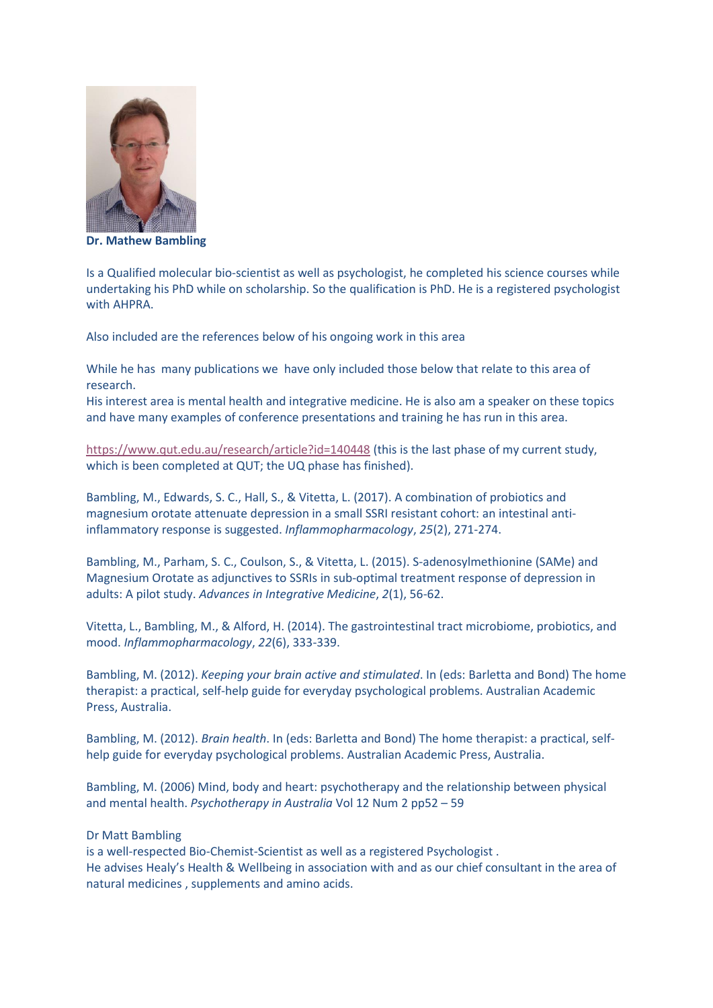

**Dr. Mathew Bambling**

Is a Qualified molecular bio-scientist as well as psychologist, he completed his science courses while undertaking his PhD while on scholarship. So the qualification is PhD. He is a registered psychologist with AHPRA.

Also included are the references below of his ongoing work in this area

While he has many publications we have only included those below that relate to this area of research.

His interest area is mental health and integrative medicine. He is also am a speaker on these topics and have many examples of conference presentations and training he has run in this area.

[https://www.qut.edu.au/research/article?id=140448](https://nam11.safelinks.protection.outlook.com/?url=https%3A%2F%2Fwww.qut.edu.au%2Fresearch%2Farticle%3Fid%3D140448&data=02%7C01%7C%7C4ac78450eeef4cf69c4808d725db0194%7C84df9e7fe9f640afb435aaaaaaaaaaaa%7C1%7C0%7C637019495817001370&sdata=JGdKYwAEugbCzg%2BOUUZc4iO%2FaVVseW7wRfXK98guodI%3D&reserved=0) (this is the last phase of my current study, which is been completed at QUT; the UQ phase has finished).

Bambling, M., Edwards, S. C., Hall, S., & Vitetta, L. (2017). A combination of probiotics and magnesium orotate attenuate depression in a small SSRI resistant cohort: an intestinal antiinflammatory response is suggested. *Inflammopharmacology*, *25*(2), 271-274.

Bambling, M., Parham, S. C., Coulson, S., & Vitetta, L. (2015). S-adenosylmethionine (SAMe) and Magnesium Orotate as adjunctives to SSRIs in sub-optimal treatment response of depression in adults: A pilot study. *Advances in Integrative Medicine*, *2*(1), 56-62.

Vitetta, L., Bambling, M., & Alford, H. (2014). The gastrointestinal tract microbiome, probiotics, and mood. *Inflammopharmacology*, *22*(6), 333-339.

Bambling, M. (2012). *Keeping your brain active and stimulated*. In (eds: Barletta and Bond) The home therapist: a practical, self-help guide for everyday psychological problems. Australian Academic Press, Australia.

Bambling, M. (2012). *Brain health*. In (eds: Barletta and Bond) The home therapist: a practical, selfhelp guide for everyday psychological problems. Australian Academic Press, Australia.

Bambling, M. (2006) Mind, body and heart: psychotherapy and the relationship between physical and mental health. *Psychotherapy in Australia* Vol 12 Num 2 pp52 – 59

## Dr Matt Bambling

is a well-respected Bio-Chemist-Scientist as well as a registered Psychologist . He advises Healy's Health & Wellbeing in association with and as our chief consultant in the area of natural medicines , supplements and amino acids.